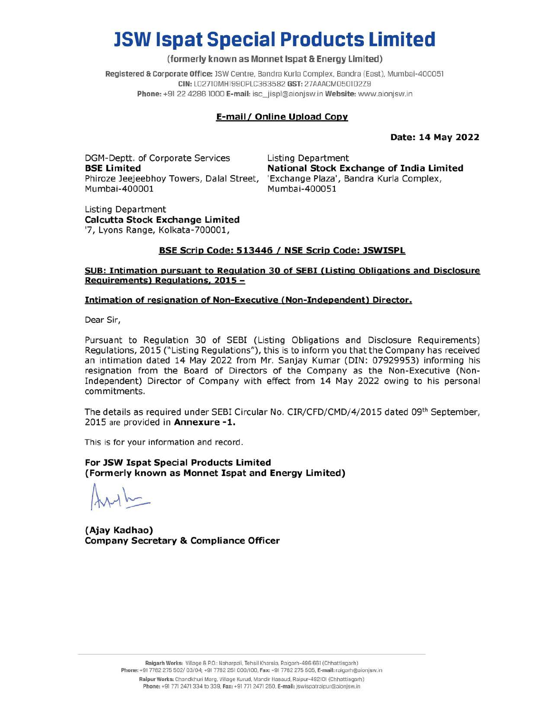## JSW Ispat Special Products Limited

#### (formerly known as Monnet Ispat & Energy Limited)

Registered & Corporate Office: JSW Centre, Bandra Kurla Complex, Bandra (East), Mumbai-400051 CIN: LO2710MH1990PLC363582 GST: 27AAACM0501D2Z9 Phone: +91 22 4286 1000 E-mail: isc\_jispl@aionjsw.in Website: www.aionjsw.in

### E-mail / Online Upload Copy

Date: 14 May 2022

DGM-Deptt. of Corporate Services Listing Department Mumbai-400001 Mumbai-400051 **JSW Ispat Special (State Special )**<br>
(formerly known as Monnet<br>
Registered & Corporate Office: JSW Centre, Bandra<br>
CIN: LO2710MH1990PLC36358;<br>
Phone: +91 22 4286 1000 E-mail. isc\_jispl<br> **E-mail/ Online**<br>
DGM-Deptt. of Cor **JSW Ispat Spec**<br>
(formerly known as<br>
Registered & Corporate Office: JSW Cent<br>
CIN: LO2710MH1990F<br>
Phone: +91 22 4286 1000 E-mail<br>
E-mail<br>
DGM-Deptt. of Corporate Services<br> **BSE Limited**<br>
Phine: 400001<br>
Listing Department<br>

BSE Limited **National Stock Exchange of India Limited** Phiroze Jeejeebhoy Towers, Dalal Street, 'Exchange Plaza', Bandra Kurla Complex,

Listing Department Calcutta Stock Exchange Limited '7, Lyons Range, Kolkata-700001,

#### BSE Scrip Code: 513446 / NSE Scrip Code: JSWISPL

#### SUB: Intimation pursuant to Regulation 30 of SEBI (Listing Obligations and Disclosure Requirements) Regulations, 2015 —

#### Intimation of resignation of Non-Executive (Non-Independent) Director.

Dear Sir,

Pursuant to Regulation 30 of SEBI (Listing Obligations and Disclosure Requirements) Regulations, 2015 ("Listing Regulations"), this is to inform you that the Company has received an intimation dated 14 May 2022 from Mr. Sanjay Kumar (DIN: 07929953) informing his resignation from the Board of Directors of the Company as the Non-Executive (Non-Independent) Director of Company with effect from 14 May 2022 owing to his personal commitments. Dear Sir,<br>
Pursuant to Regulation 30 of SEBI<br>
Regulations, 2015 ("Listing Regulations<br>
an intimation dated 14 May 2022 from<br>
Independent) Director of Company w<br>
commitments.<br>
The details as required under SEBI Circ<br>
2015 a

The details as required under SEBI Circular No. CIR/CFD/CMD/4/2015 dated 09<sup>th</sup> September, 2015 are provided in Annexure -1.

This is for your information and record.

For JSW Ispat Special Products Limited (Formerly known as Monnet Ispat and Energy Limited)

 $Arth$ 

(Ajay Kadhao) Company Secretary & Compliance Officer